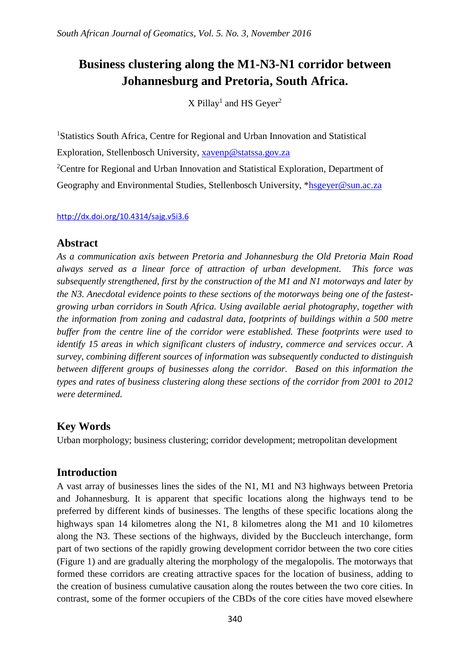# **Business clustering along the M1-N3-N1 corridor between Johannesburg and Pretoria, South Africa.**

 $X$  Pillay<sup>1</sup> and HS Geyer<sup>2</sup>

<sup>1</sup>Statistics South Africa, Centre for Regional and Urban Innovation and Statistical

Exploration, Stellenbosch University, [xavenp@statssa.gov.za](mailto:xavenp@statssa.gov.za)

<sup>2</sup>Centre for Regional and Urban Innovation and Statistical Exploration, Department of Geography and Environmental Studies, Stellenbosch University, [\\*hsgeyer@sun.ac.za](mailto:hsgeyer@sun.ac.za)

#### <http://dx.doi.org/10.4314/sajg.v5i3.6>

#### **Abstract**

*As a communication axis between Pretoria and Johannesburg the Old Pretoria Main Road always served as a linear force of attraction of urban development. This force was subsequently strengthened, first by the construction of the M1 and N1 motorways and later by the N3. Anecdotal evidence points to these sections of the motorways being one of the fastestgrowing urban corridors in South Africa. Using available aerial photography, together with the information from zoning and cadastral data, footprints of buildings within a 500 metre buffer from the centre line of the corridor were established. These footprints were used to identify 15 areas in which significant clusters of industry, commerce and services occur. A survey, combining different sources of information was subsequently conducted to distinguish between different groups of businesses along the corridor. Based on this information the types and rates of business clustering along these sections of the corridor from 2001 to 2012 were determined.*

## **Key Words**

Urban morphology; business clustering; corridor development; metropolitan development

### **Introduction**

A vast array of businesses lines the sides of the N1, M1 and N3 highways between Pretoria and Johannesburg. It is apparent that specific locations along the highways tend to be preferred by different kinds of businesses. The lengths of these specific locations along the highways span 14 kilometres along the N1, 8 kilometres along the M1 and 10 kilometres along the N3. These sections of the highways, divided by the Buccleuch interchange, form part of two sections of the rapidly growing development corridor between the two core cities (Figure 1) and are gradually altering the morphology of the megalopolis. The motorways that formed these corridors are creating attractive spaces for the location of business, adding to the creation of business cumulative causation along the routes between the two core cities. In contrast, some of the former occupiers of the CBDs of the core cities have moved elsewhere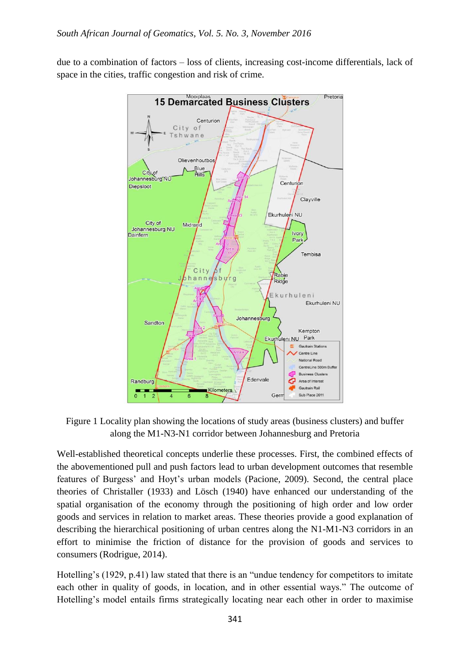due to a combination of factors – loss of clients, increasing cost-income differentials, lack of space in the cities, traffic congestion and risk of crime.



Figure 1 Locality plan showing the locations of study areas (business clusters) and buffer along the M1-N3-N1 corridor between Johannesburg and Pretoria

Well-established theoretical concepts underlie these processes. First, the combined effects of the abovementioned pull and push factors lead to urban development outcomes that resemble features of Burgess' and Hoyt's urban models (Pacione, 2009). Second, the central place theories of Christaller (1933) and Lösch (1940) have enhanced our understanding of the spatial organisation of the economy through the positioning of high order and low order goods and services in relation to market areas. These theories provide a good explanation of describing the hierarchical positioning of urban centres along the N1-M1-N3 corridors in an effort to minimise the friction of distance for the provision of goods and services to consumers (Rodrigue, 2014).

Hotelling's (1929, p.41) law stated that there is an "undue tendency for competitors to imitate each other in quality of goods, in location, and in other essential ways." The outcome of Hotelling's model entails firms strategically locating near each other in order to maximise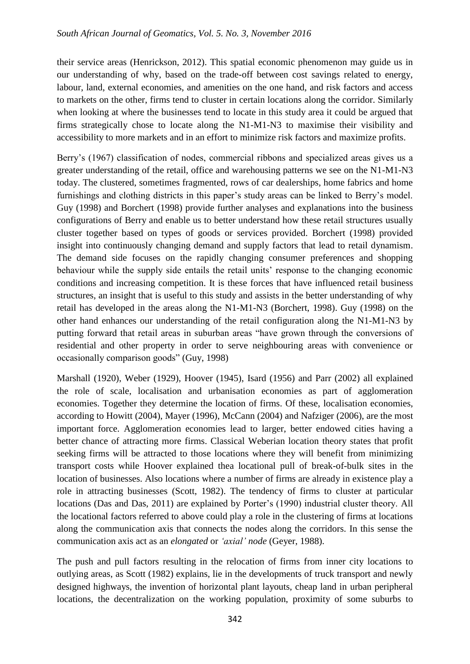their service areas (Henrickson, 2012). This spatial economic phenomenon may guide us in our understanding of why, based on the trade-off between cost savings related to energy, labour, land, external economies, and amenities on the one hand, and risk factors and access to markets on the other, firms tend to cluster in certain locations along the corridor. Similarly when looking at where the businesses tend to locate in this study area it could be argued that firms strategically chose to locate along the N1-M1-N3 to maximise their visibility and accessibility to more markets and in an effort to minimize risk factors and maximize profits.

Berry's (1967) classification of nodes, commercial ribbons and specialized areas gives us a greater understanding of the retail, office and warehousing patterns we see on the N1-M1-N3 today. The clustered, sometimes fragmented, rows of car dealerships, home fabrics and home furnishings and clothing districts in this paper's study areas can be linked to Berry's model. Guy (1998) and Borchert (1998) provide further analyses and explanations into the business configurations of Berry and enable us to better understand how these retail structures usually cluster together based on types of goods or services provided. Borchert (1998) provided insight into continuously changing demand and supply factors that lead to retail dynamism. The demand side focuses on the rapidly changing consumer preferences and shopping behaviour while the supply side entails the retail units' response to the changing economic conditions and increasing competition. It is these forces that have influenced retail business structures, an insight that is useful to this study and assists in the better understanding of why retail has developed in the areas along the N1-M1-N3 (Borchert, 1998). Guy (1998) on the other hand enhances our understanding of the retail configuration along the N1-M1-N3 by putting forward that retail areas in suburban areas "have grown through the conversions of residential and other property in order to serve neighbouring areas with convenience or occasionally comparison goods" (Guy, 1998)

Marshall (1920), Weber (1929), Hoover (1945), Isard (1956) and Parr (2002) all explained the role of scale, localisation and urbanisation economies as part of agglomeration economies. Together they determine the location of firms. Of these, localisation economies, according to Howitt (2004), Mayer (1996), McCann (2004) and Nafziger (2006), are the most important force. Agglomeration economies lead to larger, better endowed cities having a better chance of attracting more firms. Classical Weberian location theory states that profit seeking firms will be attracted to those locations where they will benefit from minimizing transport costs while Hoover explained thea locational pull of break-of-bulk sites in the location of businesses. Also locations where a number of firms are already in existence play a role in attracting businesses (Scott, 1982). The tendency of firms to cluster at particular locations (Das and Das, 2011) are explained by Porter's (1990) industrial cluster theory. All the locational factors referred to above could play a role in the clustering of firms at locations along the communication axis that connects the nodes along the corridors. In this sense the communication axis act as an *elongated* or *'axial' node* (Geyer, 1988).

The push and pull factors resulting in the relocation of firms from inner city locations to outlying areas, as Scott (1982) explains, lie in the developments of truck transport and newly designed highways, the invention of horizontal plant layouts, cheap land in urban peripheral locations, the decentralization on the working population, proximity of some suburbs to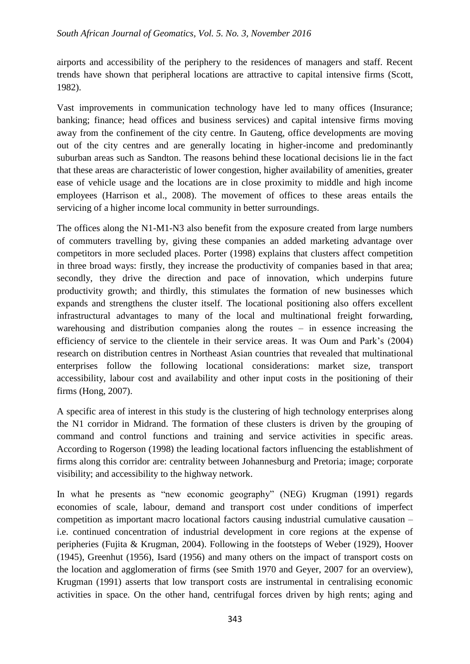airports and accessibility of the periphery to the residences of managers and staff. Recent trends have shown that peripheral locations are attractive to capital intensive firms (Scott, 1982).

Vast improvements in communication technology have led to many offices (Insurance; banking; finance; head offices and business services) and capital intensive firms moving away from the confinement of the city centre. In Gauteng, office developments are moving out of the city centres and are generally locating in higher-income and predominantly suburban areas such as Sandton. The reasons behind these locational decisions lie in the fact that these areas are characteristic of lower congestion, higher availability of amenities, greater ease of vehicle usage and the locations are in close proximity to middle and high income employees (Harrison et al., 2008). The movement of offices to these areas entails the servicing of a higher income local community in better surroundings.

The offices along the N1-M1-N3 also benefit from the exposure created from large numbers of commuters travelling by, giving these companies an added marketing advantage over competitors in more secluded places. Porter (1998) explains that clusters affect competition in three broad ways: firstly, they increase the productivity of companies based in that area; secondly, they drive the direction and pace of innovation, which underpins future productivity growth; and thirdly, this stimulates the formation of new businesses which expands and strengthens the cluster itself. The locational positioning also offers excellent infrastructural advantages to many of the local and multinational freight forwarding, warehousing and distribution companies along the routes – in essence increasing the efficiency of service to the clientele in their service areas. It was Oum and Park's (2004) research on distribution centres in Northeast Asian countries that revealed that multinational enterprises follow the following locational considerations: market size, transport accessibility, labour cost and availability and other input costs in the positioning of their firms (Hong, 2007).

A specific area of interest in this study is the clustering of high technology enterprises along the N1 corridor in Midrand. The formation of these clusters is driven by the grouping of command and control functions and training and service activities in specific areas. According to Rogerson (1998) the leading locational factors influencing the establishment of firms along this corridor are: centrality between Johannesburg and Pretoria; image; corporate visibility; and accessibility to the highway network.

In what he presents as "new economic geography" (NEG) Krugman (1991) regards economies of scale, labour, demand and transport cost under conditions of imperfect competition as important macro locational factors causing industrial cumulative causation – i.e. continued concentration of industrial development in core regions at the expense of peripheries (Fujita & Krugman, 2004). Following in the footsteps of Weber (1929), Hoover (1945), Greenhut (1956), Isard (1956) and many others on the impact of transport costs on the location and agglomeration of firms (see Smith 1970 and Geyer, 2007 for an overview), Krugman (1991) asserts that low transport costs are instrumental in centralising economic activities in space. On the other hand, centrifugal forces driven by high rents; aging and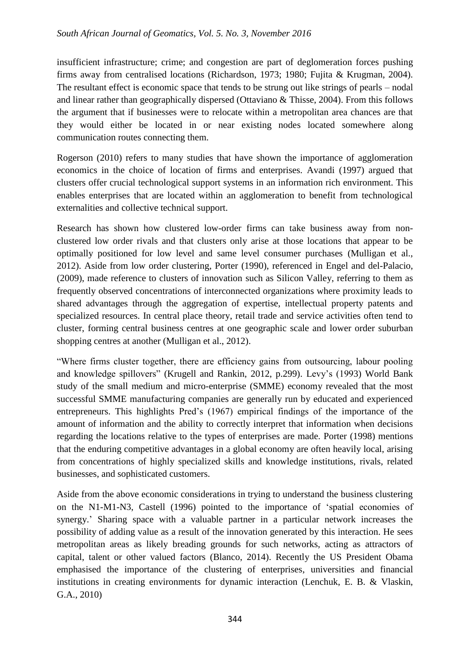insufficient infrastructure; crime; and congestion are part of deglomeration forces pushing firms away from centralised locations (Richardson, 1973; 1980; Fujita & Krugman, 2004). The resultant effect is economic space that tends to be strung out like strings of pearls – nodal and linear rather than geographically dispersed (Ottaviano & Thisse, 2004). From this follows the argument that if businesses were to relocate within a metropolitan area chances are that they would either be located in or near existing nodes located somewhere along communication routes connecting them.

Rogerson (2010) refers to many studies that have shown the importance of agglomeration economics in the choice of location of firms and enterprises. Avandi (1997) argued that clusters offer crucial technological support systems in an information rich environment. This enables enterprises that are located within an agglomeration to benefit from technological externalities and collective technical support.

Research has shown how clustered low-order firms can take business away from nonclustered low order rivals and that clusters only arise at those locations that appear to be optimally positioned for low level and same level consumer purchases (Mulligan et al., 2012). Aside from low order clustering, Porter (1990), referenced in Engel and del-Palacio, (2009), made reference to clusters of innovation such as Silicon Valley, referring to them as frequently observed concentrations of interconnected organizations where proximity leads to shared advantages through the aggregation of expertise, intellectual property patents and specialized resources. In central place theory, retail trade and service activities often tend to cluster, forming central business centres at one geographic scale and lower order suburban shopping centres at another (Mulligan et al., 2012).

"Where firms cluster together, there are efficiency gains from outsourcing, labour pooling and knowledge spillovers" (Krugell and Rankin, 2012, p.299). Levy's (1993) World Bank study of the small medium and micro-enterprise (SMME) economy revealed that the most successful SMME manufacturing companies are generally run by educated and experienced entrepreneurs. This highlights Pred's (1967) empirical findings of the importance of the amount of information and the ability to correctly interpret that information when decisions regarding the locations relative to the types of enterprises are made. Porter (1998) mentions that the enduring competitive advantages in a global economy are often heavily local, arising from concentrations of highly specialized skills and knowledge institutions, rivals, related businesses, and sophisticated customers.

Aside from the above economic considerations in trying to understand the business clustering on the N1-M1-N3, Castell (1996) pointed to the importance of 'spatial economies of synergy.' Sharing space with a valuable partner in a particular network increases the possibility of adding value as a result of the innovation generated by this interaction. He sees metropolitan areas as likely breading grounds for such networks, acting as attractors of capital, talent or other valued factors (Blanco, 2014). Recently the US President Obama emphasised the importance of the clustering of enterprises, universities and financial institutions in creating environments for dynamic interaction (Lenchuk, E. B. & Vlaskin, G.A., 2010)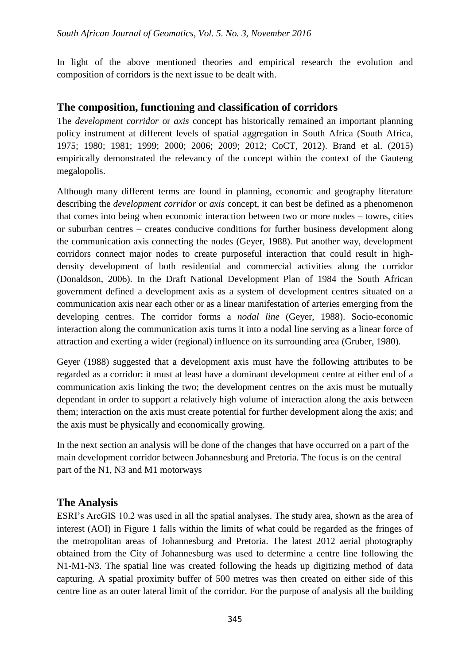In light of the above mentioned theories and empirical research the evolution and composition of corridors is the next issue to be dealt with.

#### **The composition, functioning and classification of corridors**

The *development corridor* or *axis* concept has historically remained an important planning policy instrument at different levels of spatial aggregation in South Africa (South Africa, 1975; 1980; 1981; 1999; 2000; 2006; 2009; 2012; CoCT, 2012). Brand et al. (2015) empirically demonstrated the relevancy of the concept within the context of the Gauteng megalopolis.

Although many different terms are found in planning, economic and geography literature describing the *development corridor* or *axis* concept, it can best be defined as a phenomenon that comes into being when economic interaction between two or more nodes – towns, cities or suburban centres – creates conducive conditions for further business development along the communication axis connecting the nodes (Geyer, 1988). Put another way, development corridors connect major nodes to create purposeful interaction that could result in highdensity development of both residential and commercial activities along the corridor (Donaldson, 2006). In the Draft National Development Plan of 1984 the South African government defined a development axis as a system of development centres situated on a communication axis near each other or as a linear manifestation of arteries emerging from the developing centres. The corridor forms a *nodal line* (Geyer, 1988). Socio-economic interaction along the communication axis turns it into a nodal line serving as a linear force of attraction and exerting a wider (regional) influence on its surrounding area (Gruber, 1980).

Geyer (1988) suggested that a development axis must have the following attributes to be regarded as a corridor: it must at least have a dominant development centre at either end of a communication axis linking the two; the development centres on the axis must be mutually dependant in order to support a relatively high volume of interaction along the axis between them; interaction on the axis must create potential for further development along the axis; and the axis must be physically and economically growing.

In the next section an analysis will be done of the changes that have occurred on a part of the main development corridor between Johannesburg and Pretoria. The focus is on the central part of the N1, N3 and M1 motorways

#### **The Analysis**

ESRI's ArcGIS 10.2 was used in all the spatial analyses. The study area, shown as the area of interest (AOI) in Figure 1 falls within the limits of what could be regarded as the fringes of the metropolitan areas of Johannesburg and Pretoria. The latest 2012 aerial photography obtained from the City of Johannesburg was used to determine a centre line following the N1-M1-N3. The spatial line was created following the heads up digitizing method of data capturing. A spatial proximity buffer of 500 metres was then created on either side of this centre line as an outer lateral limit of the corridor. For the purpose of analysis all the building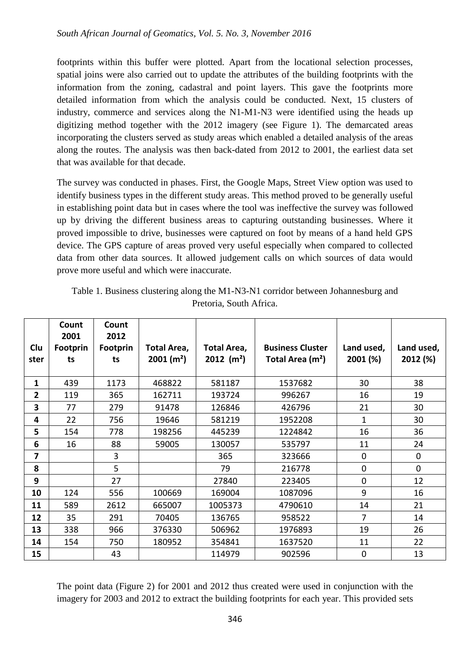footprints within this buffer were plotted. Apart from the locational selection processes, spatial joins were also carried out to update the attributes of the building footprints with the information from the zoning, cadastral and point layers. This gave the footprints more detailed information from which the analysis could be conducted. Next, 15 clusters of industry, commerce and services along the N1-M1-N3 were identified using the heads up digitizing method together with the 2012 imagery (see Figure 1). The demarcated areas incorporating the clusters served as study areas which enabled a detailed analysis of the areas along the routes. The analysis was then back-dated from 2012 to 2001, the earliest data set that was available for that decade.

The survey was conducted in phases. First, the Google Maps, Street View option was used to identify business types in the different study areas. This method proved to be generally useful in establishing point data but in cases where the tool was ineffective the survey was followed up by driving the different business areas to capturing outstanding businesses. Where it proved impossible to drive, businesses were captured on foot by means of a hand held GPS device. The GPS capture of areas proved very useful especially when compared to collected data from other data sources. It allowed judgement calls on which sources of data would prove more useful and which were inaccurate.

|             | Count<br>2001         | Count<br>2012         |                                       |                                         |                                                         |                        |                        |
|-------------|-----------------------|-----------------------|---------------------------------------|-----------------------------------------|---------------------------------------------------------|------------------------|------------------------|
| Clu<br>ster | <b>Footprin</b><br>ts | <b>Footprin</b><br>ts | Total Area,<br>2001 (m <sup>2</sup> ) | Total Area,<br>$2012$ (m <sup>2</sup> ) | <b>Business Cluster</b><br>Total Area (m <sup>2</sup> ) | Land used,<br>2001 (%) | Land used,<br>2012 (%) |
| 1           | 439                   | 1173                  | 468822                                | 581187                                  | 1537682                                                 | 30                     | 38                     |
| 2           | 119                   | 365                   | 162711                                | 193724                                  | 996267                                                  | 16                     | 19                     |
| 3           | 77                    | 279                   | 91478                                 | 126846                                  | 426796                                                  | 21                     | 30                     |
| 4           | 22                    | 756                   | 19646                                 | 581219                                  | 1952208                                                 | 1                      | 30                     |
| 5           | 154                   | 778                   | 198256                                | 445239                                  | 1224842                                                 | 16                     | 36                     |
| 6           | 16                    | 88                    | 59005                                 | 130057                                  | 535797                                                  | 11                     | 24                     |
| 7           |                       | 3                     |                                       | 365                                     | 323666                                                  | 0                      | 0                      |
| 8           |                       | 5                     |                                       | 79                                      | 216778                                                  | 0                      | $\mathbf 0$            |
| 9           |                       | 27                    |                                       | 27840                                   | 223405                                                  | 0                      | 12                     |
| 10          | 124                   | 556                   | 100669                                | 169004                                  | 1087096                                                 | 9                      | 16                     |
| 11          | 589                   | 2612                  | 665007                                | 1005373                                 | 4790610                                                 | 14                     | 21                     |
| 12          | 35                    | 291                   | 70405                                 | 136765                                  | 958522                                                  | $\overline{7}$         | 14                     |
| 13          | 338                   | 966                   | 376330                                | 506962                                  | 1976893                                                 | 19                     | 26                     |
| 14          | 154                   | 750                   | 180952                                | 354841                                  | 1637520                                                 | 11                     | 22                     |
| 15          |                       | 43                    |                                       | 114979                                  | 902596                                                  | $\mathbf 0$            | 13                     |

Table 1. Business clustering along the M1-N3-N1 corridor between Johannesburg and Pretoria, South Africa.

The point data (Figure 2) for 2001 and 2012 thus created were used in conjunction with the imagery for 2003 and 2012 to extract the building footprints for each year. This provided sets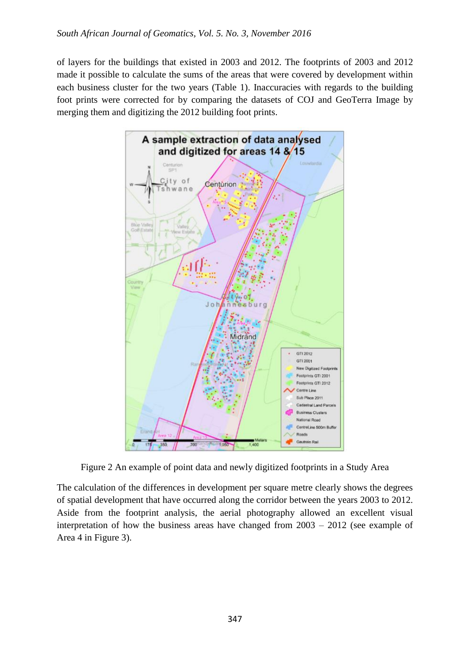of layers for the buildings that existed in 2003 and 2012. The footprints of 2003 and 2012 made it possible to calculate the sums of the areas that were covered by development within each business cluster for the two years (Table 1). Inaccuracies with regards to the building foot prints were corrected for by comparing the datasets of COJ and GeoTerra Image by merging them and digitizing the 2012 building foot prints.



Figure 2 An example of point data and newly digitized footprints in a Study Area

The calculation of the differences in development per square metre clearly shows the degrees of spatial development that have occurred along the corridor between the years 2003 to 2012. Aside from the footprint analysis, the aerial photography allowed an excellent visual interpretation of how the business areas have changed from 2003 – 2012 (see example of Area 4 in Figure 3).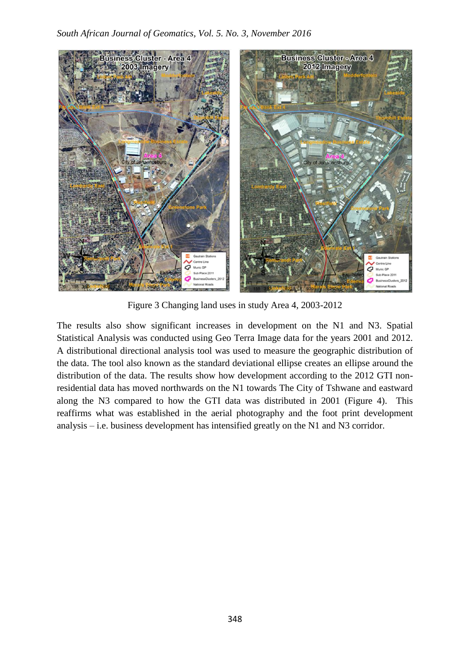

Figure 3 Changing land uses in study Area 4, 2003-2012

The results also show significant increases in development on the N1 and N3. Spatial Statistical Analysis was conducted using Geo Terra Image data for the years 2001 and 2012. A distributional directional analysis tool was used to measure the geographic distribution of the data. The tool also known as the standard deviational ellipse creates an ellipse around the distribution of the data. The results show how development according to the 2012 GTI nonresidential data has moved northwards on the N1 towards The City of Tshwane and eastward along the N3 compared to how the GTI data was distributed in 2001 (Figure 4). This reaffirms what was established in the aerial photography and the foot print development analysis – i.e. business development has intensified greatly on the N1 and N3 corridor.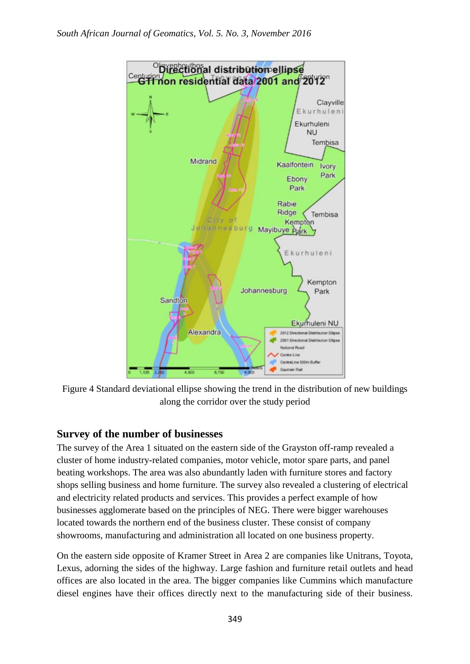

Figure 4 Standard deviational ellipse showing the trend in the distribution of new buildings along the corridor over the study period

### **Survey of the number of businesses**

The survey of the Area 1 situated on the eastern side of the Grayston off-ramp revealed a cluster of home industry-related companies, motor vehicle, motor spare parts, and panel beating workshops. The area was also abundantly laden with furniture stores and factory shops selling business and home furniture. The survey also revealed a clustering of electrical and electricity related products and services. This provides a perfect example of how businesses agglomerate based on the principles of NEG. There were bigger warehouses located towards the northern end of the business cluster. These consist of company showrooms, manufacturing and administration all located on one business property.

On the eastern side opposite of Kramer Street in Area 2 are companies like Unitrans, Toyota, Lexus, adorning the sides of the highway. Large fashion and furniture retail outlets and head offices are also located in the area. The bigger companies like Cummins which manufacture diesel engines have their offices directly next to the manufacturing side of their business.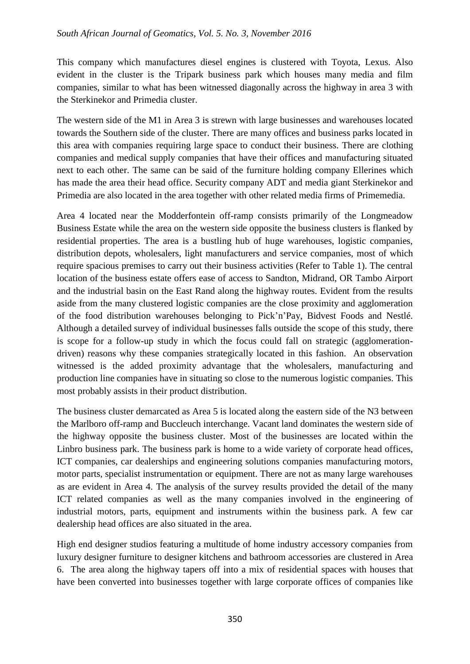This company which manufactures diesel engines is clustered with Toyota, Lexus. Also evident in the cluster is the Tripark business park which houses many media and film companies, similar to what has been witnessed diagonally across the highway in area 3 with the Sterkinekor and Primedia cluster.

The western side of the M1 in Area 3 is strewn with large businesses and warehouses located towards the Southern side of the cluster. There are many offices and business parks located in this area with companies requiring large space to conduct their business. There are clothing companies and medical supply companies that have their offices and manufacturing situated next to each other. The same can be said of the furniture holding company Ellerines which has made the area their head office. Security company ADT and media giant Sterkinekor and Primedia are also located in the area together with other related media firms of Primemedia.

Area 4 located near the Modderfontein off-ramp consists primarily of the Longmeadow Business Estate while the area on the western side opposite the business clusters is flanked by residential properties. The area is a bustling hub of huge warehouses, logistic companies, distribution depots, wholesalers, light manufacturers and service companies, most of which require spacious premises to carry out their business activities (Refer to Table 1). The central location of the business estate offers ease of access to Sandton, Midrand, OR Tambo Airport and the industrial basin on the East Rand along the highway routes. Evident from the results aside from the many clustered logistic companies are the close proximity and agglomeration of the food distribution warehouses belonging to Pick'n'Pay, Bidvest Foods and Nestlé. Although a detailed survey of individual businesses falls outside the scope of this study, there is scope for a follow-up study in which the focus could fall on strategic (agglomerationdriven) reasons why these companies strategically located in this fashion. An observation witnessed is the added proximity advantage that the wholesalers, manufacturing and production line companies have in situating so close to the numerous logistic companies. This most probably assists in their product distribution.

The business cluster demarcated as Area 5 is located along the eastern side of the N3 between the Marlboro off-ramp and Buccleuch interchange. Vacant land dominates the western side of the highway opposite the business cluster. Most of the businesses are located within the Linbro business park. The business park is home to a wide variety of corporate head offices, ICT companies, car dealerships and engineering solutions companies manufacturing motors, motor parts, specialist instrumentation or equipment. There are not as many large warehouses as are evident in Area 4. The analysis of the survey results provided the detail of the many ICT related companies as well as the many companies involved in the engineering of industrial motors, parts, equipment and instruments within the business park. A few car dealership head offices are also situated in the area.

High end designer studios featuring a multitude of home industry accessory companies from luxury designer furniture to designer kitchens and bathroom accessories are clustered in Area 6. The area along the highway tapers off into a mix of residential spaces with houses that have been converted into businesses together with large corporate offices of companies like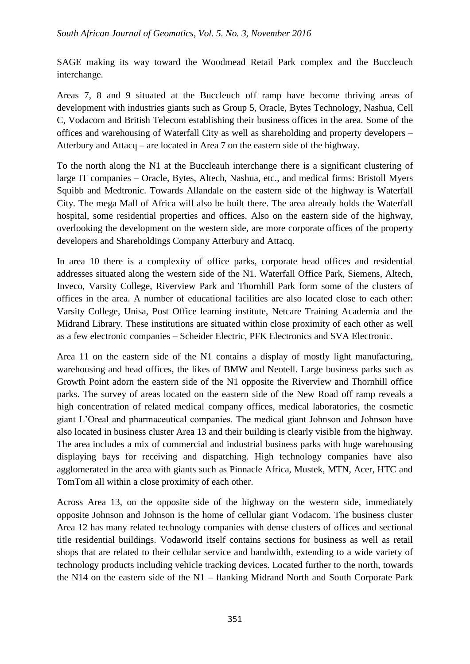SAGE making its way toward the Woodmead Retail Park complex and the Buccleuch interchange.

Areas 7, 8 and 9 situated at the Buccleuch off ramp have become thriving areas of development with industries giants such as Group 5, Oracle, Bytes Technology, Nashua, Cell C, Vodacom and British Telecom establishing their business offices in the area. Some of the offices and warehousing of Waterfall City as well as shareholding and property developers – Atterbury and Attacq – are located in Area 7 on the eastern side of the highway.

To the north along the N1 at the Buccleauh interchange there is a significant clustering of large IT companies – Oracle, Bytes, Altech, Nashua, etc., and medical firms: Bristoll Myers Squibb and Medtronic. Towards Allandale on the eastern side of the highway is Waterfall City. The mega Mall of Africa will also be built there. The area already holds the Waterfall hospital, some residential properties and offices. Also on the eastern side of the highway, overlooking the development on the western side, are more corporate offices of the property developers and Shareholdings Company Atterbury and Attacq.

In area 10 there is a complexity of office parks, corporate head offices and residential addresses situated along the western side of the N1. Waterfall Office Park, Siemens, Altech, Inveco, Varsity College, Riverview Park and Thornhill Park form some of the clusters of offices in the area. A number of educational facilities are also located close to each other: Varsity College, Unisa, Post Office learning institute, Netcare Training Academia and the Midrand Library. These institutions are situated within close proximity of each other as well as a few electronic companies – Scheider Electric, PFK Electronics and SVA Electronic.

Area 11 on the eastern side of the N1 contains a display of mostly light manufacturing, warehousing and head offices, the likes of BMW and Neotell. Large business parks such as Growth Point adorn the eastern side of the N1 opposite the Riverview and Thornhill office parks. The survey of areas located on the eastern side of the New Road off ramp reveals a high concentration of related medical company offices, medical laboratories, the cosmetic giant L'Oreal and pharmaceutical companies. The medical giant Johnson and Johnson have also located in business cluster Area 13 and their building is clearly visible from the highway. The area includes a mix of commercial and industrial business parks with huge warehousing displaying bays for receiving and dispatching. High technology companies have also agglomerated in the area with giants such as Pinnacle Africa, Mustek, MTN, Acer, HTC and TomTom all within a close proximity of each other.

Across Area 13, on the opposite side of the highway on the western side, immediately opposite Johnson and Johnson is the home of cellular giant Vodacom. The business cluster Area 12 has many related technology companies with dense clusters of offices and sectional title residential buildings. Vodaworld itself contains sections for business as well as retail shops that are related to their cellular service and bandwidth, extending to a wide variety of technology products including vehicle tracking devices. Located further to the north, towards the N14 on the eastern side of the N1 – flanking Midrand North and South Corporate Park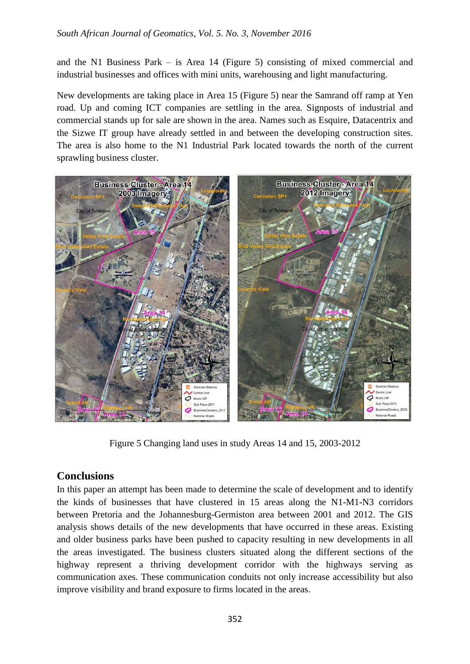and the N1 Business Park – is Area 14 (Figure 5) consisting of mixed commercial and industrial businesses and offices with mini units, warehousing and light manufacturing.

New developments are taking place in Area 15 (Figure 5) near the Samrand off ramp at Yen road. Up and coming ICT companies are settling in the area. Signposts of industrial and commercial stands up for sale are shown in the area. Names such as Esquire, Datacentrix and the Sizwe IT group have already settled in and between the developing construction sites. The area is also home to the N1 Industrial Park located towards the north of the current sprawling business cluster.



Figure 5 Changing land uses in study Areas 14 and 15, 2003-2012

### **Conclusions**

In this paper an attempt has been made to determine the scale of development and to identify the kinds of businesses that have clustered in 15 areas along the N1-M1-N3 corridors between Pretoria and the Johannesburg-Germiston area between 2001 and 2012. The GIS analysis shows details of the new developments that have occurred in these areas. Existing and older business parks have been pushed to capacity resulting in new developments in all the areas investigated. The business clusters situated along the different sections of the highway represent a thriving development corridor with the highways serving as communication axes. These communication conduits not only increase accessibility but also improve visibility and brand exposure to firms located in the areas.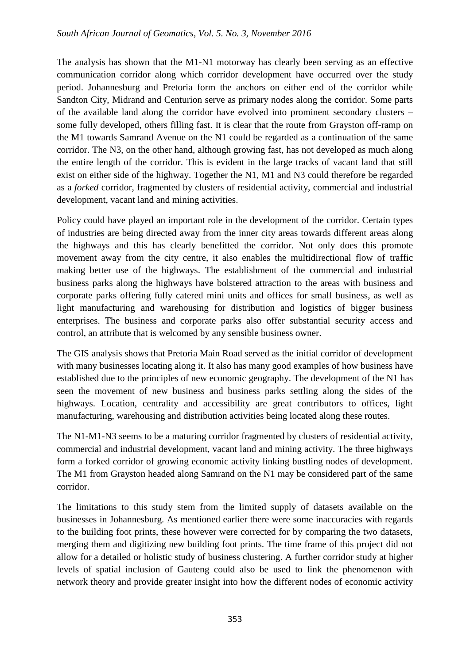The analysis has shown that the M1-N1 motorway has clearly been serving as an effective communication corridor along which corridor development have occurred over the study period. Johannesburg and Pretoria form the anchors on either end of the corridor while Sandton City, Midrand and Centurion serve as primary nodes along the corridor. Some parts of the available land along the corridor have evolved into prominent secondary clusters – some fully developed, others filling fast. It is clear that the route from Grayston off-ramp on the M1 towards Samrand Avenue on the N1 could be regarded as a continuation of the same corridor. The N3, on the other hand, although growing fast, has not developed as much along the entire length of the corridor. This is evident in the large tracks of vacant land that still exist on either side of the highway. Together the N1, M1 and N3 could therefore be regarded as a *forked* corridor, fragmented by clusters of residential activity, commercial and industrial development, vacant land and mining activities.

Policy could have played an important role in the development of the corridor. Certain types of industries are being directed away from the inner city areas towards different areas along the highways and this has clearly benefitted the corridor. Not only does this promote movement away from the city centre, it also enables the multidirectional flow of traffic making better use of the highways. The establishment of the commercial and industrial business parks along the highways have bolstered attraction to the areas with business and corporate parks offering fully catered mini units and offices for small business, as well as light manufacturing and warehousing for distribution and logistics of bigger business enterprises. The business and corporate parks also offer substantial security access and control, an attribute that is welcomed by any sensible business owner.

The GIS analysis shows that Pretoria Main Road served as the initial corridor of development with many businesses locating along it. It also has many good examples of how business have established due to the principles of new economic geography. The development of the N1 has seen the movement of new business and business parks settling along the sides of the highways. Location, centrality and accessibility are great contributors to offices, light manufacturing, warehousing and distribution activities being located along these routes.

The N1-M1-N3 seems to be a maturing corridor fragmented by clusters of residential activity, commercial and industrial development, vacant land and mining activity. The three highways form a forked corridor of growing economic activity linking bustling nodes of development. The M1 from Grayston headed along Samrand on the N1 may be considered part of the same corridor.

The limitations to this study stem from the limited supply of datasets available on the businesses in Johannesburg. As mentioned earlier there were some inaccuracies with regards to the building foot prints, these however were corrected for by comparing the two datasets, merging them and digitizing new building foot prints. The time frame of this project did not allow for a detailed or holistic study of business clustering. A further corridor study at higher levels of spatial inclusion of Gauteng could also be used to link the phenomenon with network theory and provide greater insight into how the different nodes of economic activity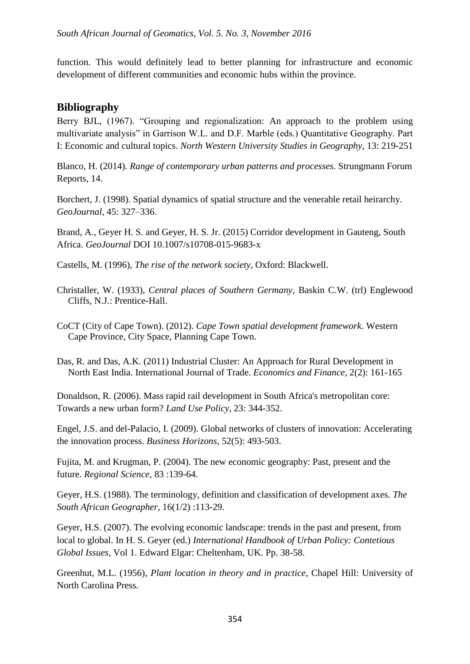function. This would definitely lead to better planning for infrastructure and economic development of different communities and economic hubs within the province.

### **Bibliography**

Berry BJL, (1967). "Grouping and regionalization: An approach to the problem using multivariate analysis" in Garrison W.L. and D.F. Marble (eds.) Quantitative Geography. Part I: Economic and cultural topics. *North Western University Studies in Geography*, 13: 219-251

Blanco, H. (2014). *Range of contemporary urban patterns and processes*. Strungmann Forum Reports, 14.

Borchert, J. (1998). Spatial dynamics of spatial structure and the venerable retail heirarchy. *GeoJournal*, 45: 327–336.

Brand, A., Geyer H. S. and Geyer, H. S. Jr. (2015) Corridor development in Gauteng, South Africa. *GeoJournal* DOI 10.1007/s10708-015-9683-x

Castells, M. (1996), *The rise of the network society*, Oxford: Blackwell.

- Christaller, W. (1933), *Central places of Southern Germany*, Baskin C.W. (trl) Englewood Cliffs, N.J.: Prentice-Hall.
- CoCT (City of Cape Town). (2012). *Cape Town spatial development framework*. Western Cape Province, City Space, Planning Cape Town.

Das, R. and Das, A.K. (2011) Industrial Cluster: An Approach for Rural Development in North East India. International Journal of Trade. *Economics and Finance*, 2(2): 161-165

Donaldson, R. (2006). Mass rapid rail development in South Africa's metropolitan core: Towards a new urban form? *Land Use Policy*, 23: 344-352.

Engel, J.S. and del-Palacio, I. (2009). Global networks of clusters of innovation: Accelerating the innovation process. *Business Horizons*, 52(5): 493-503.

Fujita, M. and Krugman, P. (2004). The new economic geography: Past, present and the future. *Regional Science*, 83 :139-64.

Geyer, H.S. (1988). The terminology, definition and classification of development axes. *The South African Geographer*, 16(1/2) :113-29.

Geyer, H.S. (2007). The evolving economic landscape: trends in the past and present, from local to global. In H. S. Geyer (ed.) *International Handbook of Urban Policy: Contetious Global Issues*, Vol 1. Edward Elgar: Cheltenham, UK. Pp. 38-58.

Greenhut, M.L. (1956), *Plant location in theory and in practice*, Chapel Hill: University of North Carolina Press.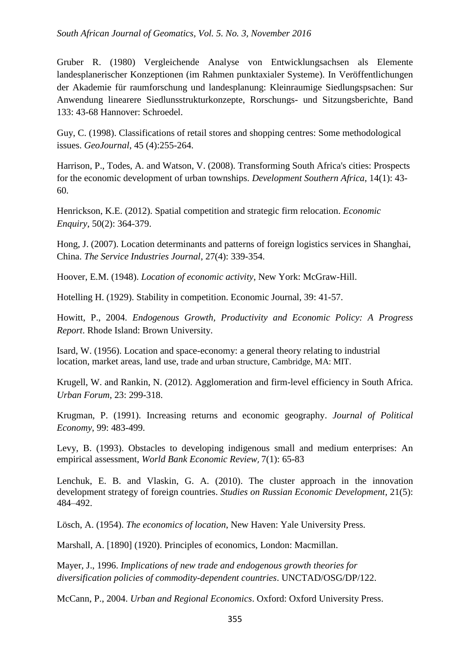Gruber R. (1980) Vergleichende Analyse von Entwicklungsachsen als Elemente landesplanerischer Konzeptionen (im Rahmen punktaxialer Systeme). In Veröffentlichungen der Akademie für raumforschung und landesplanung: Kleinraumige Siedlungspsachen: Sur Anwendung linearere Siedlunsstrukturkonzepte, Rorschungs- und Sitzungsberichte, Band 133: 43-68 Hannover: Schroedel.

Guy, C. (1998). Classifications of retail stores and shopping centres: Some methodological issues. *GeoJournal*, 45 (4):255-264.

Harrison, P., Todes, A. and Watson, V. (2008). Transforming South Africa's cities: Prospects for the economic development of urban townships. *Development Southern Africa*, 14(1): 43- 60.

Henrickson, K.E. (2012). Spatial competition and strategic firm relocation. *Economic Enquiry*, 50(2): 364-379.

Hong, J. (2007). Location determinants and patterns of foreign logistics services in Shanghai, China. *The Service Industries Journal*, 27(4): 339-354.

Hoover, E.M. (1948). *Location of economic activity*, New York: McGraw-Hill.

Hotelling H. (1929). Stability in competition. Economic Journal, 39: 41-57.

Howitt, P., 2004. *Endogenous Growth, Productivity and Economic Policy: A Progress Report*. Rhode Island: Brown University.

Isard, W. (1956). Location and space-economy: a general theory relating to industrial location, market areas, land use, trade and urban structure, Cambridge, MA: MIT.

Krugell, W. and Rankin, N. (2012). Agglomeration and firm-level efficiency in South Africa. *Urban Forum*, 23: 299-318.

Krugman, P. (1991). Increasing returns and economic geography. *Journal of Political Economy*, 99: 483-499.

Levy, B. (1993). Obstacles to developing indigenous small and medium enterprises: An empirical assessment, *World Bank Economic Review*, 7(1): 65-83

Lenchuk, E. B. and Vlaskin, G. A. (2010). The cluster approach in the innovation development strategy of foreign countries. *Studies on Russian Economic Development*, 21(5): 484–492.

Lösch, A. (1954). *The economics of location*, New Haven: Yale University Press.

Marshall, A. [1890] (1920). Principles of economics, London: Macmillan.

Mayer, J., 1996. *Implications of new trade and endogenous growth theories for diversification policies of commodity-dependent countries*. UNCTAD/OSG/DP/122.

McCann, P., 2004. *Urban and Regional Economics*. Oxford: Oxford University Press.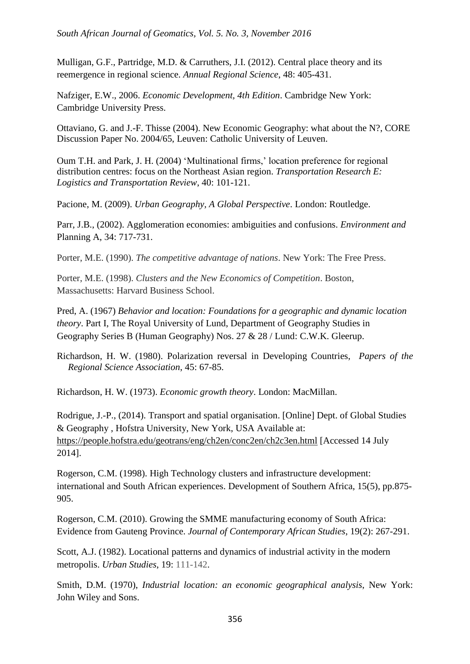Mulligan, G.F., Partridge, M.D. & Carruthers, J.I. (2012). Central place theory and its reemergence in regional science. *Annual Regional Science*, 48: 405-431.

Nafziger, E.W., 2006. *Economic Development, 4th Edition*. Cambridge New York: Cambridge University Press.

Ottaviano, G. and J.-F. Thisse (2004). New Economic Geography: what about the N?, CORE Discussion Paper No. 2004/65, Leuven: Catholic University of Leuven.

Oum T.H. and Park, J. H. (2004) 'Multinational firms,' location preference for regional distribution centres: focus on the Northeast Asian region. *Transportation Research E: Logistics and Transportation Review*, 40: 101-121.

Pacione, M. (2009). *Urban Geography, A Global Perspective*. London: Routledge.

Parr, J.B., (2002). Agglomeration economies: ambiguities and confusions. *Environment and*  Planning A, 34: 717-731.

Porter, M.E. (1990). *The competitive advantage of nations*. New York: The Free Press.

Porter, M.E. (1998). *Clusters and the New Economics of Competition*. Boston, Massachusetts: Harvard Business School.

Pred, A. (1967) *Behavior and location: Foundations for a geographic and dynamic location theory*. Part I, The Royal University of Lund, Department of Geography Studies in Geography Series B (Human Geography) Nos. 27 & 28 / Lund: C.W.K. Gleerup.

Richardson, H. W. (1980). Polarization reversal in Developing Countries, *Papers of the Regional Science Association*, 45: 67-85.

Richardson, H. W. (1973). *Economic growth theory*. London: MacMillan.

Rodrigue, J.-P., (2014). Transport and spatial organisation. [Online] Dept. of Global Studies & Geography , Hofstra University, New York, USA Available at: <https://people.hofstra.edu/geotrans/eng/ch2en/conc2en/ch2c3en.html> [Accessed 14 July 2014].

Rogerson, C.M. (1998). High Technology clusters and infrastructure development: international and South African experiences. Development of Southern Africa, 15(5), pp.875- 905.

Rogerson, C.M. (2010). Growing the SMME manufacturing economy of South Africa: Evidence from Gauteng Province. *Journal of Contemporary African Studies*, 19(2): 267-291.

Scott, A.J. (1982). Locational patterns and dynamics of industrial activity in the modern metropolis. *Urban Studies*, 19: 111-142.

Smith, D.M. (1970), *Industrial location: an economic geographical analysis*, New York: John Wiley and Sons.